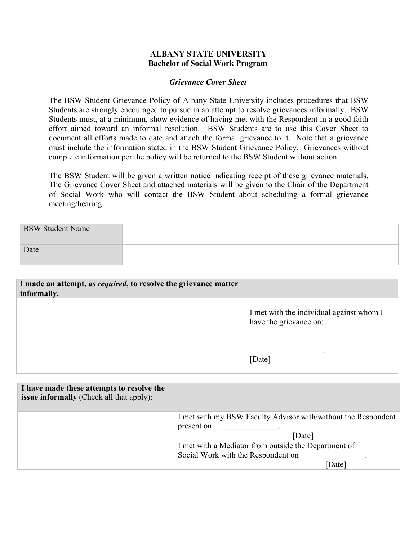### **ALBANY STATE UNIVERSITY Bachelor of Social Work Program**

#### *Grievance Cover Sheet*

The BSW Student Grievance Policy of Albany State University includes procedures that BSW Students are strongly encouraged to pursue in an attempt to resolve grievances informally. BSW Students must, at a minimum, show evidence of having met with the Respondent in a good faith effort aimed toward an informal resolution. BSW Students are to use this Cover Sheet to document all efforts made to date and attach the formal grievance to it. Note that a grievance must include the information stated in the BSW Student Grievance Policy. Grievances without complete information per the policy will be returned to the BSW Student without action.

The BSW Student will be given a written notice indicating receipt of these grievance materials. The Grievance Cover Sheet and attached materials will be given to the Chair of the Department of Social Work who will contact the BSW Student about scheduling a formal grievance meeting/hearing.

| <b>BSW Student Name</b> |  |
|-------------------------|--|
| Date                    |  |

| I made an attempt, <i>as required</i> , to resolve the grievance matter<br>informally. |                                                                    |
|----------------------------------------------------------------------------------------|--------------------------------------------------------------------|
|                                                                                        | I met with the individual against whom I<br>have the grievance on: |
|                                                                                        | [Date]                                                             |

| I have made these attempts to resolve the<br>issue informally (Check all that apply): |                                                                             |
|---------------------------------------------------------------------------------------|-----------------------------------------------------------------------------|
|                                                                                       | I met with my BSW Faculty Advisor with/without the Respondent<br>present on |
|                                                                                       | [Date]                                                                      |
|                                                                                       | I met with a Mediator from outside the Department of                        |
|                                                                                       | Social Work with the Respondent on                                          |
|                                                                                       | [Date]                                                                      |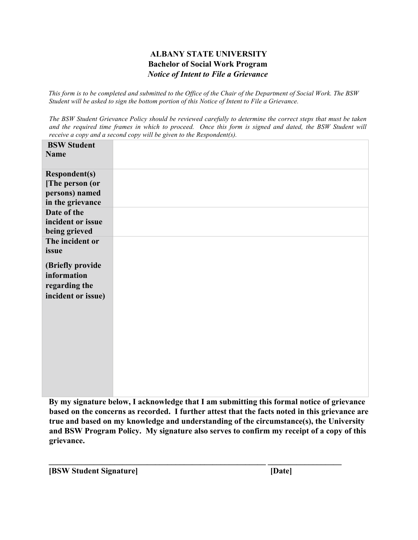## **ALBANY STATE UNIVERSITY Bachelor of Social Work Program**  *Notice of Intent to File a Grievance*

*This form is to be completed and submitted to the Office of the Chair of the Department of Social Work. The BSW Student will be asked to sign the bottom portion of this Notice of Intent to File a Grievance.* 

*The BSW Student Grievance Policy should be reviewed carefully to determine the correct steps that must be taken and the required time frames in which to proceed. Once this form is signed and dated, the BSW Student will receive a copy and a second copy will be given to the Respondent(s).* 

**By my signature below, I acknowledge that I am submitting this formal notice of grievance based on the concerns as recorded. I further attest that the facts noted in this grievance are true and based on my knowledge and understanding of the circumstance(s), the University and BSW Program Policy. My signature also serves to confirm my receipt of a copy of this grievance.**

**\_\_\_\_\_\_\_\_\_\_\_\_\_\_\_\_\_\_\_\_\_\_\_\_\_\_\_\_\_\_\_\_\_\_\_\_\_\_\_\_\_\_\_\_\_\_\_\_\_\_\_\_\_ \_\_\_\_\_\_\_\_\_\_\_\_\_\_\_\_\_\_**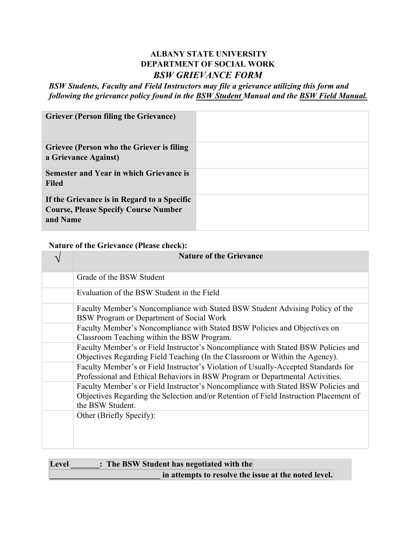# **ALBANY STATE UNIVERSITY DEPARTMENT OF SOCIAL WORK**  *BSW GRIEVANCE FORM*

*BSW Students, Faculty and Field Instructors may file a grievance utilizing this form and following the grievance policy found in the BSW Student Manual and the BSW Field Manual.*

## **Nature of the Grievance (Please check):**

| <b>Nature of the Grievance</b>                                                                                                                                                                 |
|------------------------------------------------------------------------------------------------------------------------------------------------------------------------------------------------|
| Grade of the BSW Student                                                                                                                                                                       |
| Evaluation of the BSW Student in the Field                                                                                                                                                     |
| Faculty Member's Noncompliance with Stated BSW Student Advising Policy of the<br>BSW Program or Department of Social Work                                                                      |
| Faculty Member's Noncompliance with Stated BSW Policies and Objectives on<br>Classroom Teaching within the BSW Program.                                                                        |
| Faculty Member's or Field Instructor's Noncompliance with Stated BSW Policies and<br>Objectives Regarding Field Teaching (In the Classroom or Within the Agency).                              |
| Faculty Member's or Field Instructor's Violation of Usually-Accepted Standards for<br>Professional and Ethical Behaviors in BSW Program or Departmental Activities.                            |
| Faculty Member's or Field Instructor's Noncompliance with Stated BSW Policies and<br>Objectives Regarding the Selection and/or Retention of Field Instruction Placement of<br>the BSW Student. |
| Other (Briefly Specify):                                                                                                                                                                       |
|                                                                                                                                                                                                |

| Level | : The BSW Student has negotiated with the            |
|-------|------------------------------------------------------|
|       | in attempts to resolve the issue at the noted level. |